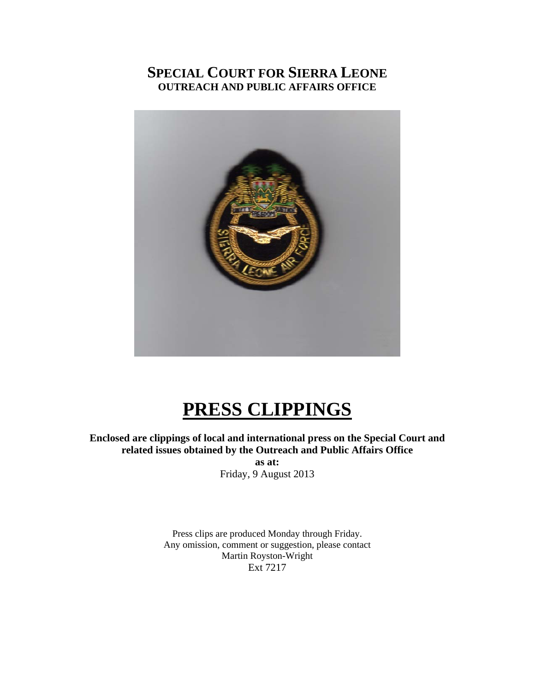## **SPECIAL COURT FOR SIERRA LEONE OUTREACH AND PUBLIC AFFAIRS OFFICE**



## **PRESS CLIPPINGS**

**Enclosed are clippings of local and international press on the Special Court and related issues obtained by the Outreach and Public Affairs Office** 

> **as at:**  Friday, 9 August 2013

Press clips are produced Monday through Friday. Any omission, comment or suggestion, please contact Martin Royston-Wright Ext 7217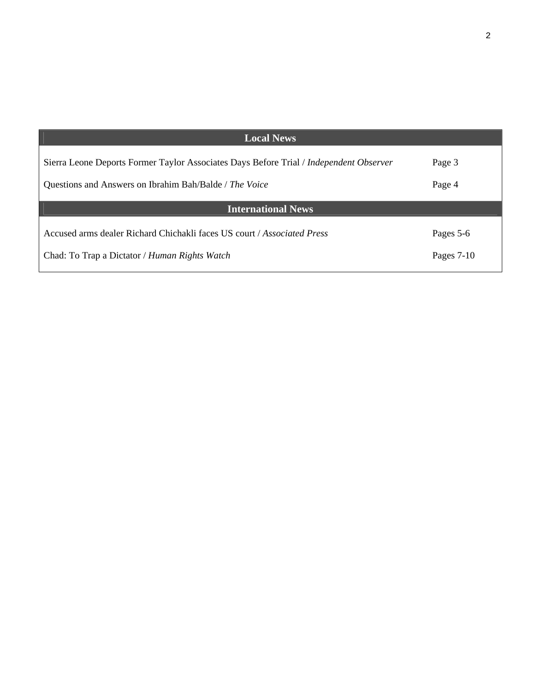| <b>Local News</b>                                                                                                        |                           |
|--------------------------------------------------------------------------------------------------------------------------|---------------------------|
| Sierra Leone Deports Former Taylor Associates Days Before Trial / Independent Observer                                   | Page 3                    |
| Questions and Answers on Ibrahim Bah/Balde / The Voice                                                                   | Page 4                    |
| <b>International News</b>                                                                                                |                           |
| Accused arms dealer Richard Chichakli faces US court / Associated Press<br>Chad: To Trap a Dictator / Human Rights Watch | Pages 5-6<br>Pages $7-10$ |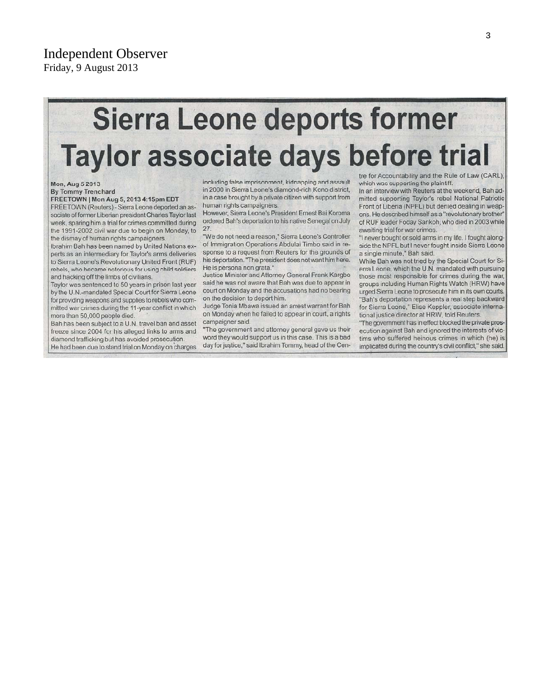# **Sierra Leone deports former Taylor associate days before trial**

#### **Mon, Aug 5 2013**

#### **By Tommy Trenchard**

FREETOWN | Mon Aug 5, 2013 4:15pm EDT FREETOWN (Reuters) - Sierra Leone deported an associate of former Liberian president Charles Taylor last week, sparing him a trial for crimes committed during the 1991-2002 civil war due to begin on Monday, to the dismay of human rights campaigners.

Ibrahim Bah has been named by United Nations experts as an intermediary for Taylor's arms deliveries to Sierra Leone's Revolutionary United Front (RUF) rebels, who became notorious for using child soldiers and hacking off the limbs of civilians.

Taylor was sentenced to 50 years in prison last year by the U.N.-mandated Special Court for Sierra Leone for providing weapons and supplies to rebels who committed war crimes during the 11-year conflict in which more than 50,000 people died.

Bah has been subject to a U.N. travel ban and asset freeze since 2004 for his alleged links to arms and diamond trafficking but has avoided prosecution. He had been due to stand trial on Monday on charges

including false imprisonment, kidnapping and assault in 2000 in Sierra Leone's diamond-rich Kono district. in a case brought by a private citizen with support from human rights campaigners.

However, Sierra Leone's President Ernest Bai Koroma ordered Bah's deportation to his native Senegal on July 27

"We do not need a reason," Sierra Leone's Controller of Immigration Operations Abdulai Timbo said in response to a request from Reuters for the grounds of his deportation. "The president does not want him here. He is persona non grata."

Justice Minister and Attorney General Frank Kargbo said he was not aware that Bah was due to appear in court on Monday and the accusations had no bearing on the decision to deport him.

Judge Tonia Mbawa issued an arrest warrant for Bah on Monday when he failed to appear in court, a rights campaigner said.

"The government and attorney general gave us their word they would support us in this case. This is a bad day for justice," said Ibrahim Tommy, head of the Centre for Accountability and the Rule of Law (CARL) which was supporting the plaintiff.

In an interview with Reuters at the weekend, Bah admitted supporting Taylor's rebel National Patriotic Front of Liberia (NPFL) but denied dealing in weapons. He described himself as a "revolutionary brother" of RUF leader Foday Sankoh, who died in 2003 while awaiting trial for war crimes.

"I never bought or sold arms in my life. I fought alongside the NPFL but I never fought inside Sierra Leone a single minute," Bah said

While Bah was not tried by the Special Court for Sierra Leone, which the U.N. mandated with pursuing those most responsible for crimes during the war, groups including Human Rights Watch (HRW) have urged Sierra Leone to prosecute him in its own courts. "Bah's deportation represents a real step backward for Sierra Leone," Elise Keppler, associate international justice director at HRW, told Reuters.

"The government has in effect blocked the private prosecution against Bah and ignored the interests of victims who suffered heinous crimes in which (he) is implicated during the country's civil conflict," she said.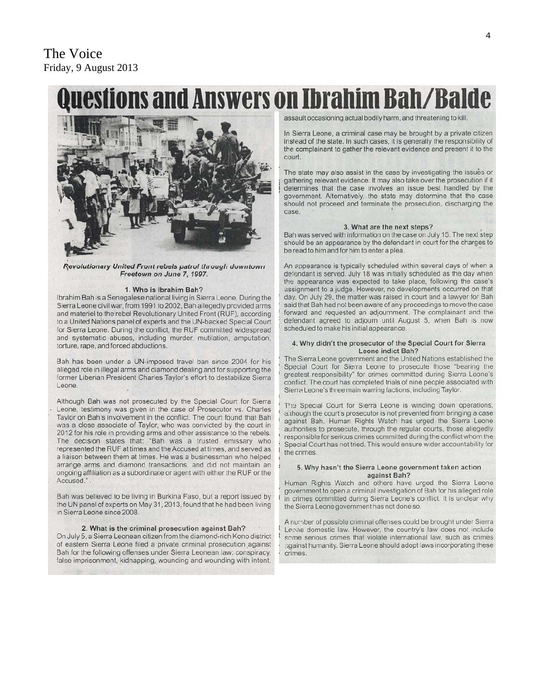## fions and Answers on Ibrahim Bah/Ba



Revolutionary United Front rebels patrol through downtown Freetown on June 7, 1997.

#### 1. Who is Ibrahim Bah?

Ibrahim Bah is a Senegalese national living in Sierra Leone. During the Sierra Leone civil war, from 1991 to 2002, Bah allegedly provided arms and materiel to the rebel Revolutionary United Front (RUF), according to a United Nations panel of experts and the UN-backed Special Court for Sierra Leone. During the conflict, the RUF committed widespread and systematic abuses, including murder, mutilation, amputation, torture, rape, and forced abductions.

Bah has been under a UN-imposed travel ban since 2004 for his alleged role in illegal arms and diamond dealing and for supporting the former Liberian President Charles Taylor's effort to destabilize Sierra Leone.

Although Bah was not prosecuted by the Special Court for Sierra Leone, testimony was given in the case of Prosecutor vs. Charles Taylor on Bah's involvement in the conflict. The court found that Bah was a close associate of Taylor, who was convicted by the court in 2012 for his role in providing arms and other assistance to the rebels. The decision states that: "Bah was a trusted emissary who represented the RUF at times and the Accused at times, and served as a liaison between them at times. He was a businessman who helped arrange arms and diamond transactions, and did not maintain an ongoing affiliation as a subordinate or agent with either the RUF or the Accused."

Bah was believed to be living in Burkina Faso, but a report issued by the UN panel of experts on May 31, 2013, found that he had been living in Sierra Leone since 2008.

#### 2. What is the criminal prosecution against Bah?

On July 5, a Sierra Leonean citizen from the diamond-rich Kono district of eastern Sierra Leone filed a private criminal prosecution against Bah for the following offenses under Sierra Leonean law: conspiracy, false imprisonment, kidnapping, wounding and wounding with intent, assault occasioning actual bodily harm, and threatening to kill.

In Sierra Leone, a criminal case may be brought by a private citizen instead of the state. In such cases, it is generally the responsibility of the complainant to gather the relevant evidence and present it to the court

The state may also assist in the case by investigating the issues or gathering relevant evidence. It may also take over the prosecution if it determines that the case involves an issue best handled by the government. Alternatively, the state may determine that the case should not proceed and terminate the prosecution, discharging the case.

#### 3. What are the next steps?

Bah was served with information on the case on July 15. The next step should be an appearance by the defendant in court for the charges to be read to him and for him to enter a plea.

An appearance is typically scheduled within several days of when a defendant is served. July 18 was initially scheduled as the day when the appearance was expected to take place, following the case's assignment to a judge. However, no developments occurred on that day. On July 29, the matter was raised in court and a lawyer for Bah said that Bah had not been aware of any proceedings to move the case forward and requested an adjournment. The complainant and the defendant agreed to adjourn until August 5, when Bah is now scheduled to make his initial appearance.

#### 4. Why didn't the prosecutor of the Special Court for Sierra Leone indict Bah?

The Sierra Leone government and the United Nations established the Special Court for Sierra Leone to prosecute those "bearing the greatest responsibility" for crimes committed during Sierra Leone's conflict. The court has completed trials of nine people associated with Sierra Leone's three main warring factions, including Taylor.

The Special Court for Sierra Leone is winding down operations, although the court's prosecutor is not prevented from bringing a case against Bah. Human Rights Watch has urged the Sierra Leone authorities to prosecute, through the regular courts, those allegedly responsible for serious crimes committed during the conflict whom the Special Court has not tried. This would ensure wider accountability for the crimes.

#### 5. Why hasn't the Sierra Leone government taken action against Bah?

Human Rights Watch and others have urged the Sierra Leone government to open a criminal investigation of Bah for his alleged role in crimes committed during Sierra Leone's conflict. It is unclear why the Sierra Leone government has not done so.

A number of possible criminal offenses could be brought under Sierra Leone domestic law. However, the country's law does not include some serious crimes that violate international law, such as crimes against humanity. Sierra Leone should adopt laws incorporating these crimes.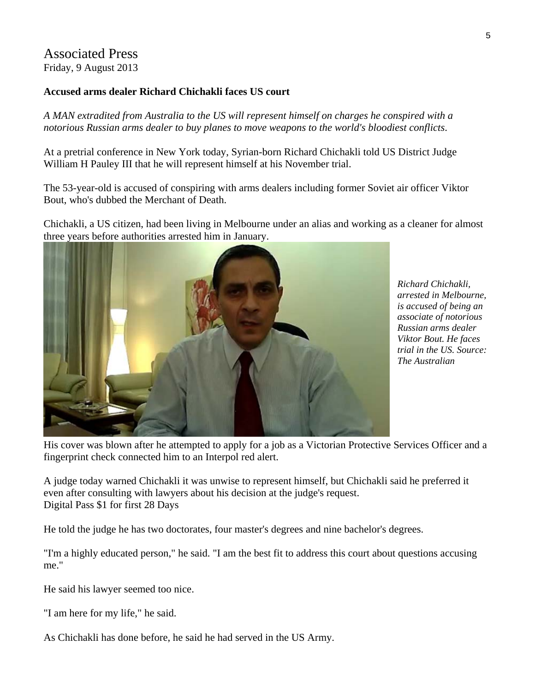## Associated Press Friday, 9 August 2013

### **Accused arms dealer Richard Chichakli faces US court**

*A MAN extradited from Australia to the US will represent himself on charges he conspired with a notorious Russian arms dealer to buy planes to move weapons to the world's bloodiest conflicts*.

At a pretrial conference in New York today, Syrian-born Richard Chichakli told US District Judge William H Pauley III that he will represent himself at his November trial.

The 53-year-old is accused of conspiring with arms dealers including former Soviet air officer Viktor Bout, who's dubbed the Merchant of Death.

Chichakli, a US citizen, had been living in Melbourne under an alias and working as a cleaner for almost three years before authorities arrested him in January.



*Richard Chichakli, arrested in Melbourne, is accused of being an associate of notorious Russian arms dealer Viktor Bout. He faces trial in the US. Source: The Australian* 

His cover was blown after he attempted to apply for a job as a Victorian Protective Services Officer and a fingerprint check connected him to an Interpol red alert.

A judge today warned Chichakli it was unwise to represent himself, but Chichakli said he preferred it even after consulting with lawyers about his decision at the judge's request. Digital Pass \$1 for first 28 Days

He told the judge he has two doctorates, four master's degrees and nine bachelor's degrees.

"I'm a highly educated person," he said. "I am the best fit to address this court about questions accusing me."

He said his lawyer seemed too nice.

"I am here for my life," he said.

As Chichakli has done before, he said he had served in the US Army.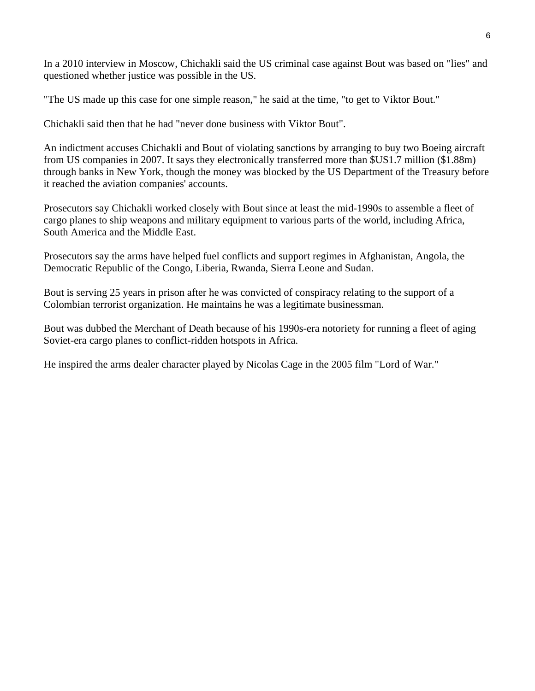In a 2010 interview in Moscow, Chichakli said the US criminal case against Bout was based on "lies" and questioned whether justice was possible in the US.

"The US made up this case for one simple reason," he said at the time, "to get to Viktor Bout."

Chichakli said then that he had "never done business with Viktor Bout".

An indictment accuses Chichakli and Bout of violating sanctions by arranging to buy two Boeing aircraft from US companies in 2007. It says they electronically transferred more than \$US1.7 million (\$1.88m) through banks in New York, though the money was blocked by the US Department of the Treasury before it reached the aviation companies' accounts.

Prosecutors say Chichakli worked closely with Bout since at least the mid-1990s to assemble a fleet of cargo planes to ship weapons and military equipment to various parts of the world, including Africa, South America and the Middle East.

Prosecutors say the arms have helped fuel conflicts and support regimes in Afghanistan, Angola, the Democratic Republic of the Congo, Liberia, Rwanda, Sierra Leone and Sudan.

Bout is serving 25 years in prison after he was convicted of conspiracy relating to the support of a Colombian terrorist organization. He maintains he was a legitimate businessman.

Bout was dubbed the Merchant of Death because of his 1990s-era notoriety for running a fleet of aging Soviet-era cargo planes to conflict-ridden hotspots in Africa.

He inspired the arms dealer character played by Nicolas Cage in the 2005 film "Lord of War."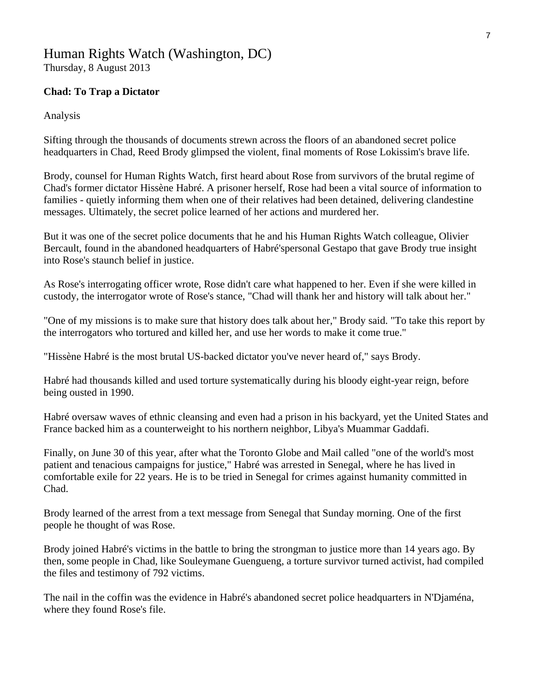## Human Rights Watch (Washington, DC)

Thursday, 8 August 2013

### **Chad: To Trap a Dictator**

Analysis

Sifting through the thousands of documents strewn across the floors of an abandoned secret police headquarters in Chad, Reed Brody glimpsed the violent, final moments of Rose Lokissim's brave life.

Brody, counsel for Human Rights Watch, first heard about Rose from survivors of the brutal regime of Chad's former dictator Hissène Habré. A prisoner herself, Rose had been a vital source of information to families - quietly informing them when one of their relatives had been detained, delivering clandestine messages. Ultimately, the secret police learned of her actions and murdered her.

But it was one of the secret police documents that he and his Human Rights Watch colleague, Olivier Bercault, found in the abandoned headquarters of Habré'spersonal Gestapo that gave Brody true insight into Rose's staunch belief in justice.

As Rose's interrogating officer wrote, Rose didn't care what happened to her. Even if she were killed in custody, the interrogator wrote of Rose's stance, "Chad will thank her and history will talk about her."

"One of my missions is to make sure that history does talk about her," Brody said. "To take this report by the interrogators who tortured and killed her, and use her words to make it come true."

"Hissène Habré is the most brutal US-backed dictator you've never heard of," says Brody.

Habré had thousands killed and used torture systematically during his bloody eight-year reign, before being ousted in 1990.

Habré oversaw waves of ethnic cleansing and even had a prison in his backyard, yet the United States and France backed him as a counterweight to his northern neighbor, Libya's Muammar Gaddafi.

Finally, on June 30 of this year, after what the Toronto Globe and Mail called "one of the world's most patient and tenacious campaigns for justice," Habré was arrested in Senegal, where he has lived in comfortable exile for 22 years. He is to be tried in Senegal for crimes against humanity committed in Chad.

Brody learned of the arrest from a text message from Senegal that Sunday morning. One of the first people he thought of was Rose.

Brody joined Habré's victims in the battle to bring the strongman to justice more than 14 years ago. By then, some people in Chad, like Souleymane Guengueng, a torture survivor turned activist, had compiled the files and testimony of 792 victims.

The nail in the coffin was the evidence in Habré's abandoned secret police headquarters in N'Djaména, where they found Rose's file.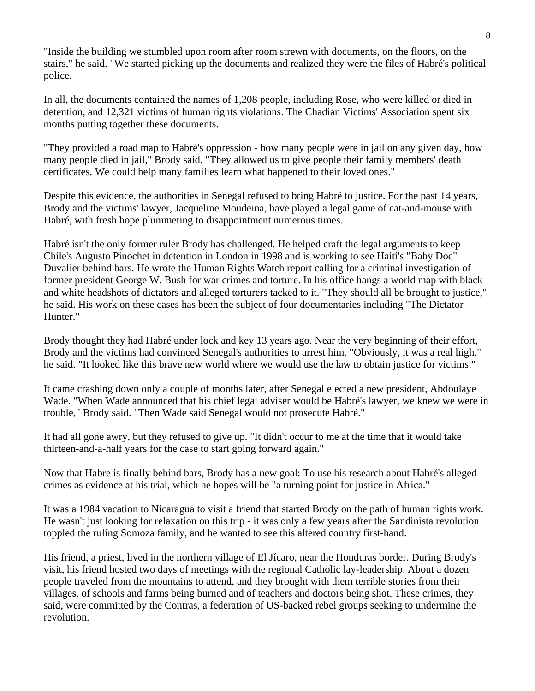"Inside the building we stumbled upon room after room strewn with documents, on the floors, on the stairs," he said. "We started picking up the documents and realized they were the files of Habré's political police.

In all, the documents contained the names of 1,208 people, including Rose, who were killed or died in detention, and 12,321 victims of human rights violations. The Chadian Victims' Association spent six months putting together these documents.

"They provided a road map to Habré's oppression - how many people were in jail on any given day, how many people died in jail," Brody said. "They allowed us to give people their family members' death certificates. We could help many families learn what happened to their loved ones."

Despite this evidence, the authorities in Senegal refused to bring Habré to justice. For the past 14 years, Brody and the victims' lawyer, Jacqueline Moudeina, have played a legal game of cat-and-mouse with Habré, with fresh hope plummeting to disappointment numerous times.

Habré isn't the only former ruler Brody has challenged. He helped craft the legal arguments to keep Chile's Augusto Pinochet in detention in London in 1998 and is working to see Haiti's "Baby Doc" Duvalier behind bars. He wrote the Human Rights Watch report calling for a criminal investigation of former president George W. Bush for war crimes and torture. In his office hangs a world map with black and white headshots of dictators and alleged torturers tacked to it. "They should all be brought to justice," he said. His work on these cases has been the subject of four documentaries including "The Dictator Hunter."

Brody thought they had Habré under lock and key 13 years ago. Near the very beginning of their effort, Brody and the victims had convinced Senegal's authorities to arrest him. "Obviously, it was a real high," he said. "It looked like this brave new world where we would use the law to obtain justice for victims."

It came crashing down only a couple of months later, after Senegal elected a new president, Abdoulaye Wade. "When Wade announced that his chief legal adviser would be Habré's lawyer, we knew we were in trouble," Brody said. "Then Wade said Senegal would not prosecute Habré."

It had all gone awry, but they refused to give up. "It didn't occur to me at the time that it would take thirteen-and-a-half years for the case to start going forward again."

Now that Habre is finally behind bars, Brody has a new goal: To use his research about Habré's alleged crimes as evidence at his trial, which he hopes will be "a turning point for justice in Africa."

It was a 1984 vacation to Nicaragua to visit a friend that started Brody on the path of human rights work. He wasn't just looking for relaxation on this trip - it was only a few years after the Sandinista revolution toppled the ruling Somoza family, and he wanted to see this altered country first-hand.

His friend, a priest, lived in the northern village of El Jícaro, near the Honduras border. During Brody's visit, his friend hosted two days of meetings with the regional Catholic lay-leadership. About a dozen people traveled from the mountains to attend, and they brought with them terrible stories from their villages, of schools and farms being burned and of teachers and doctors being shot. These crimes, they said, were committed by the Contras, a federation of US-backed rebel groups seeking to undermine the revolution.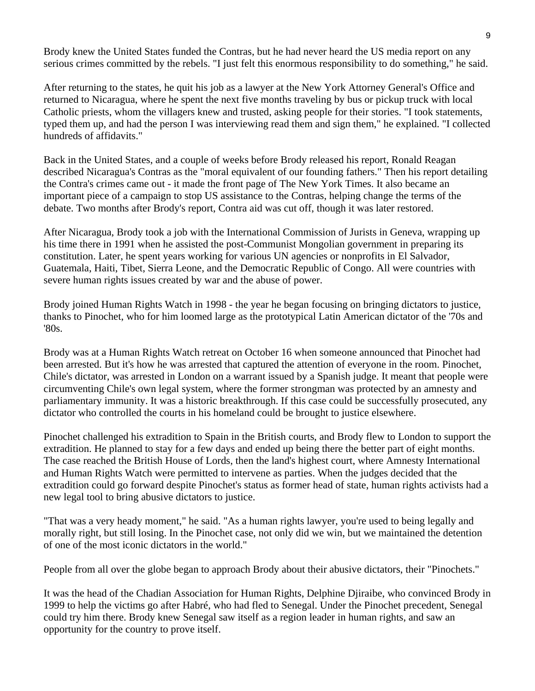Brody knew the United States funded the Contras, but he had never heard the US media report on any serious crimes committed by the rebels. "I just felt this enormous responsibility to do something," he said.

After returning to the states, he quit his job as a lawyer at the New York Attorney General's Office and returned to Nicaragua, where he spent the next five months traveling by bus or pickup truck with local Catholic priests, whom the villagers knew and trusted, asking people for their stories. "I took statements, typed them up, and had the person I was interviewing read them and sign them," he explained. "I collected hundreds of affidavits."

Back in the United States, and a couple of weeks before Brody released his report, Ronald Reagan described Nicaragua's Contras as the "moral equivalent of our founding fathers." Then his report detailing the Contra's crimes came out - it made the front page of The New York Times. It also became an important piece of a campaign to stop US assistance to the Contras, helping change the terms of the debate. Two months after Brody's report, Contra aid was cut off, though it was later restored.

After Nicaragua, Brody took a job with the International Commission of Jurists in Geneva, wrapping up his time there in 1991 when he assisted the post-Communist Mongolian government in preparing its constitution. Later, he spent years working for various UN agencies or nonprofits in El Salvador, Guatemala, Haiti, Tibet, Sierra Leone, and the Democratic Republic of Congo. All were countries with severe human rights issues created by war and the abuse of power.

Brody joined Human Rights Watch in 1998 - the year he began focusing on bringing dictators to justice, thanks to Pinochet, who for him loomed large as the prototypical Latin American dictator of the '70s and '80s.

Brody was at a Human Rights Watch retreat on October 16 when someone announced that Pinochet had been arrested. But it's how he was arrested that captured the attention of everyone in the room. Pinochet, Chile's dictator, was arrested in London on a warrant issued by a Spanish judge. It meant that people were circumventing Chile's own legal system, where the former strongman was protected by an amnesty and parliamentary immunity. It was a historic breakthrough. If this case could be successfully prosecuted, any dictator who controlled the courts in his homeland could be brought to justice elsewhere.

Pinochet challenged his extradition to Spain in the British courts, and Brody flew to London to support the extradition. He planned to stay for a few days and ended up being there the better part of eight months. The case reached the British House of Lords, then the land's highest court, where Amnesty International and Human Rights Watch were permitted to intervene as parties. When the judges decided that the extradition could go forward despite Pinochet's status as former head of state, human rights activists had a new legal tool to bring abusive dictators to justice.

"That was a very heady moment," he said. "As a human rights lawyer, you're used to being legally and morally right, but still losing. In the Pinochet case, not only did we win, but we maintained the detention of one of the most iconic dictators in the world."

People from all over the globe began to approach Brody about their abusive dictators, their "Pinochets."

It was the head of the Chadian Association for Human Rights, Delphine Djiraibe, who convinced Brody in 1999 to help the victims go after Habré, who had fled to Senegal. Under the Pinochet precedent, Senegal could try him there. Brody knew Senegal saw itself as a region leader in human rights, and saw an opportunity for the country to prove itself.